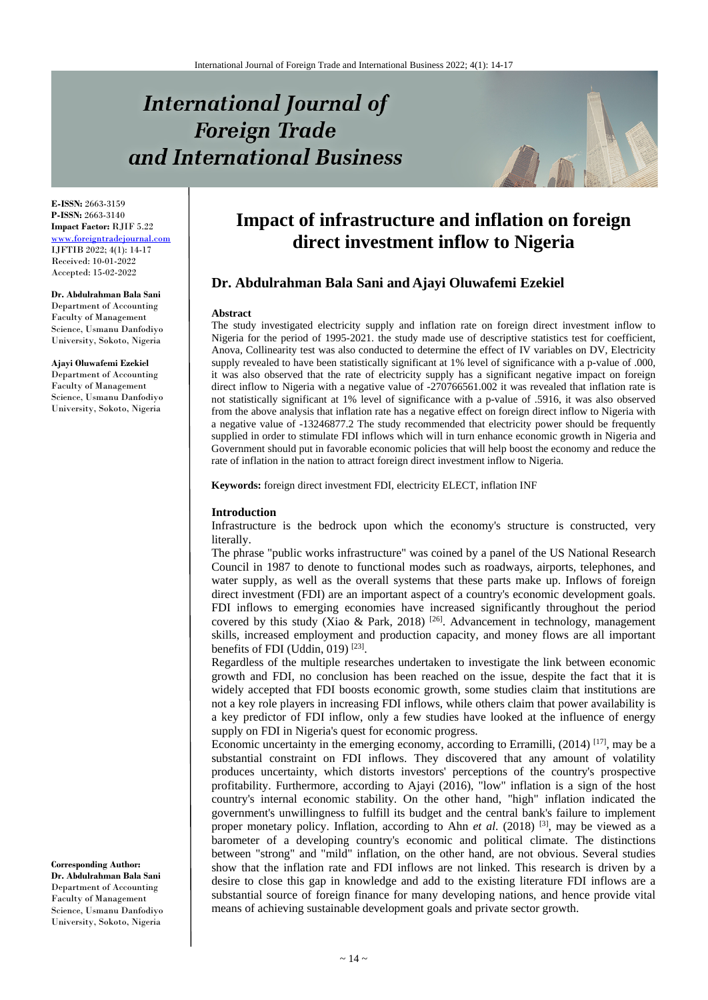# **International Journal of Foreign Trade** and International Business



**E-ISSN:** 2663-3159 **P-ISSN:** 2663-3140 **Impact Factor:** RJIF 5.22 [www.foreigntradejournal.com](http://www.foreigntradejournal.com/) IJFTIB 2022; 4(1): 14-17 Received: 10-01-2022 Accepted: 15-02-2022

**Dr. Abdulrahman Bala Sani** Department of Accounting Faculty of Management Science, Usmanu Danfodiyo University, Sokoto, Nigeria

**Ajayi Oluwafemi Ezekiel** Department of Accounting Faculty of Management Science, Usmanu Danfodiyo University, Sokoto, Nigeria

**Corresponding Author: Dr. Abdulrahman Bala Sani** Department of Accounting Faculty of Management Science, Usmanu Danfodiyo University, Sokoto, Nigeria

# **Impact of infrastructure and inflation on foreign direct investment inflow to Nigeria**

# **Dr. Abdulrahman Bala Sani and Ajayi Oluwafemi Ezekiel**

#### **Abstract**

The study investigated electricity supply and inflation rate on foreign direct investment inflow to Nigeria for the period of 1995-2021. the study made use of descriptive statistics test for coefficient, Anova, Collinearity test was also conducted to determine the effect of IV variables on DV, Electricity supply revealed to have been statistically significant at 1% level of significance with a p-value of .000, it was also observed that the rate of electricity supply has a significant negative impact on foreign direct inflow to Nigeria with a negative value of -270766561.002 it was revealed that inflation rate is not statistically significant at 1% level of significance with a p-value of .5916, it was also observed from the above analysis that inflation rate has a negative effect on foreign direct inflow to Nigeria with a negative value of -13246877.2 The study recommended that electricity power should be frequently supplied in order to stimulate FDI inflows which will in turn enhance economic growth in Nigeria and Government should put in favorable economic policies that will help boost the economy and reduce the rate of inflation in the nation to attract foreign direct investment inflow to Nigeria.

**Keywords:** foreign direct investment FDI, electricity ELECT, inflation INF

# **Introduction**

Infrastructure is the bedrock upon which the economy's structure is constructed, very literally.

The phrase "public works infrastructure" was coined by a panel of the US National Research Council in 1987 to denote to functional modes such as roadways, airports, telephones, and water supply, as well as the overall systems that these parts make up. Inflows of foreign direct investment (FDI) are an important aspect of a country's economic development goals. FDI inflows to emerging economies have increased significantly throughout the period covered by this study (Xiao & Park, 2018)<sup>[26]</sup>. Advancement in technology, management skills, increased employment and production capacity, and money flows are all important benefits of FDI (Uddin, 019)<sup>[23]</sup>.

Regardless of the multiple researches undertaken to investigate the link between economic growth and FDI, no conclusion has been reached on the issue, despite the fact that it is widely accepted that FDI boosts economic growth, some studies claim that institutions are not a key role players in increasing FDI inflows, while others claim that power availability is a key predictor of FDI inflow, only a few studies have looked at the influence of energy supply on FDI in Nigeria's quest for economic progress.

Economic uncertainty in the emerging economy, according to Erramilli, (2014)<sup>[17]</sup>, may be a substantial constraint on FDI inflows. They discovered that any amount of volatility produces uncertainty, which distorts investors' perceptions of the country's prospective profitability. Furthermore, according to Ajayi (2016), "low" inflation is a sign of the host country's internal economic stability. On the other hand, "high" inflation indicated the government's unwillingness to fulfill its budget and the central bank's failure to implement proper monetary policy. Inflation, according to Ahn *et al.* (2018)<sup>[3]</sup>, may be viewed as a barometer of a developing country's economic and political climate. The distinctions between "strong" and "mild" inflation, on the other hand, are not obvious. Several studies show that the inflation rate and FDI inflows are not linked. This research is driven by a desire to close this gap in knowledge and add to the existing literature FDI inflows are a substantial source of foreign finance for many developing nations, and hence provide vital means of achieving sustainable development goals and private sector growth.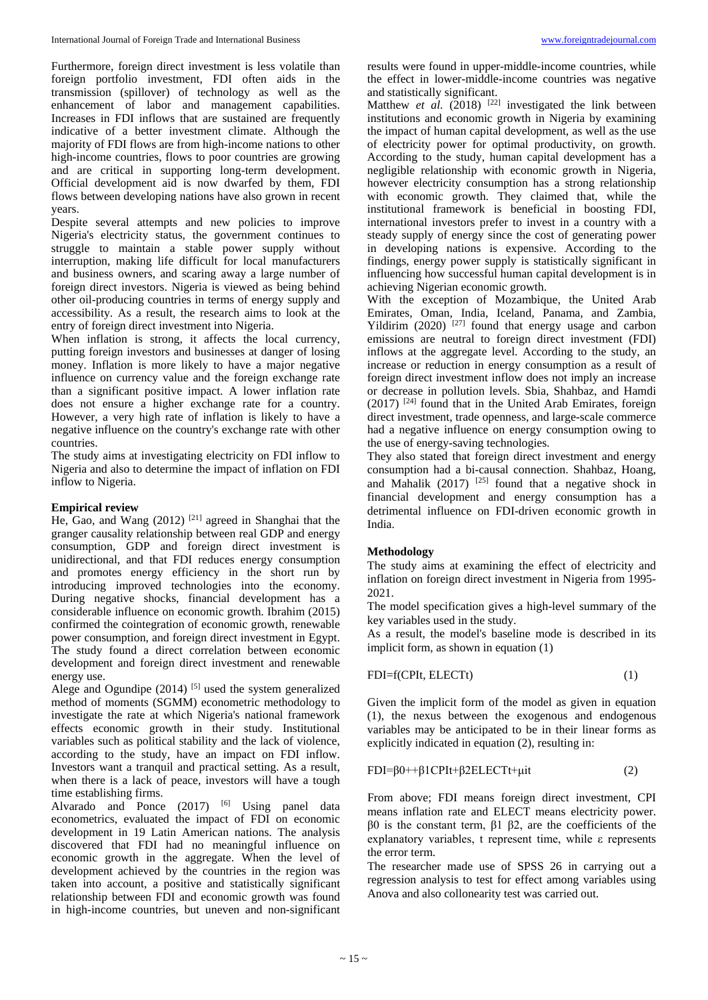Furthermore, foreign direct investment is less volatile than foreign portfolio investment, FDI often aids in the transmission (spillover) of technology as well as the enhancement of labor and management capabilities. Increases in FDI inflows that are sustained are frequently indicative of a better investment climate. Although the majority of FDI flows are from high-income nations to other high-income countries, flows to poor countries are growing and are critical in supporting long-term development. Official development aid is now dwarfed by them, FDI flows between developing nations have also grown in recent years.

Despite several attempts and new policies to improve Nigeria's electricity status, the government continues to struggle to maintain a stable power supply without interruption, making life difficult for local manufacturers and business owners, and scaring away a large number of foreign direct investors. Nigeria is viewed as being behind other oil-producing countries in terms of energy supply and accessibility. As a result, the research aims to look at the entry of foreign direct investment into Nigeria.

When inflation is strong, it affects the local currency, putting foreign investors and businesses at danger of losing money. Inflation is more likely to have a major negative influence on currency value and the foreign exchange rate than a significant positive impact. A lower inflation rate does not ensure a higher exchange rate for a country. However, a very high rate of inflation is likely to have a negative influence on the country's exchange rate with other countries.

The study aims at investigating electricity on FDI inflow to Nigeria and also to determine the impact of inflation on FDI inflow to Nigeria.

# **Empirical review**

He, Gao, and Wang (2012)<sup>[21]</sup> agreed in Shanghai that the granger causality relationship between real GDP and energy consumption, GDP and foreign direct investment is unidirectional, and that FDI reduces energy consumption and promotes energy efficiency in the short run by introducing improved technologies into the economy. During negative shocks, financial development has a considerable influence on economic growth. Ibrahim (2015) confirmed the cointegration of economic growth, renewable power consumption, and foreign direct investment in Egypt. The study found a direct correlation between economic development and foreign direct investment and renewable energy use.

Alege and Ogundipe  $(2014)$  [5] used the system generalized method of moments (SGMM) econometric methodology to investigate the rate at which Nigeria's national framework effects economic growth in their study. Institutional variables such as political stability and the lack of violence, according to the study, have an impact on FDI inflow. Investors want a tranquil and practical setting. As a result, when there is a lack of peace, investors will have a tough time establishing firms.

Alvarado and Ponce  $(2017)$  <sup>[6]</sup> Using panel data econometrics, evaluated the impact of FDI on economic development in 19 Latin American nations. The analysis discovered that FDI had no meaningful influence on economic growth in the aggregate. When the level of development achieved by the countries in the region was taken into account, a positive and statistically significant relationship between FDI and economic growth was found in high-income countries, but uneven and non-significant results were found in upper-middle-income countries, while the effect in lower-middle-income countries was negative and statistically significant.

Matthew *et al.* (2018) <sup>[22]</sup> investigated the link between institutions and economic growth in Nigeria by examining the impact of human capital development, as well as the use of electricity power for optimal productivity, on growth. According to the study, human capital development has a negligible relationship with economic growth in Nigeria, however electricity consumption has a strong relationship with economic growth. They claimed that, while the institutional framework is beneficial in boosting FDI, international investors prefer to invest in a country with a steady supply of energy since the cost of generating power in developing nations is expensive. According to the findings, energy power supply is statistically significant in influencing how successful human capital development is in achieving Nigerian economic growth.

With the exception of Mozambique, the United Arab Emirates, Oman, India, Iceland, Panama, and Zambia, Yildirim  $(2020)$ <sup>[27]</sup> found that energy usage and carbon emissions are neutral to foreign direct investment (FDI) inflows at the aggregate level. According to the study, an increase or reduction in energy consumption as a result of foreign direct investment inflow does not imply an increase or decrease in pollution levels. Sbia, Shahbaz, and Hamdi  $(2017)$  <sup>[24]</sup> found that in the United Arab Emirates, foreign direct investment, trade openness, and large-scale commerce had a negative influence on energy consumption owing to the use of energy-saving technologies.

They also stated that foreign direct investment and energy consumption had a bi-causal connection. Shahbaz, Hoang, and Mahalik  $(2017)$  <sup>[25]</sup> found that a negative shock in financial development and energy consumption has a detrimental influence on FDI-driven economic growth in India.

# **Methodology**

The study aims at examining the effect of electricity and inflation on foreign direct investment in Nigeria from 1995- 2021.

The model specification gives a high-level summary of the key variables used in the study.

As a result, the model's baseline mode is described in its implicit form, as shown in equation (1)

# FDI=f(CPIt, ELECTt) (1)

Given the implicit form of the model as given in equation (1), the nexus between the exogenous and endogenous variables may be anticipated to be in their linear forms as explicitly indicated in equation (2), resulting in:

# FDI=β0++β1CPIt+β2ELECTt+μit (2)

From above; FDI means foreign direct investment, CPI means inflation rate and ELECT means electricity power. β0 is the constant term, β1 β2, are the coefficients of the explanatory variables, t represent time, while ε represents the error term.

The researcher made use of SPSS 26 in carrying out a regression analysis to test for effect among variables using Anova and also collonearity test was carried out.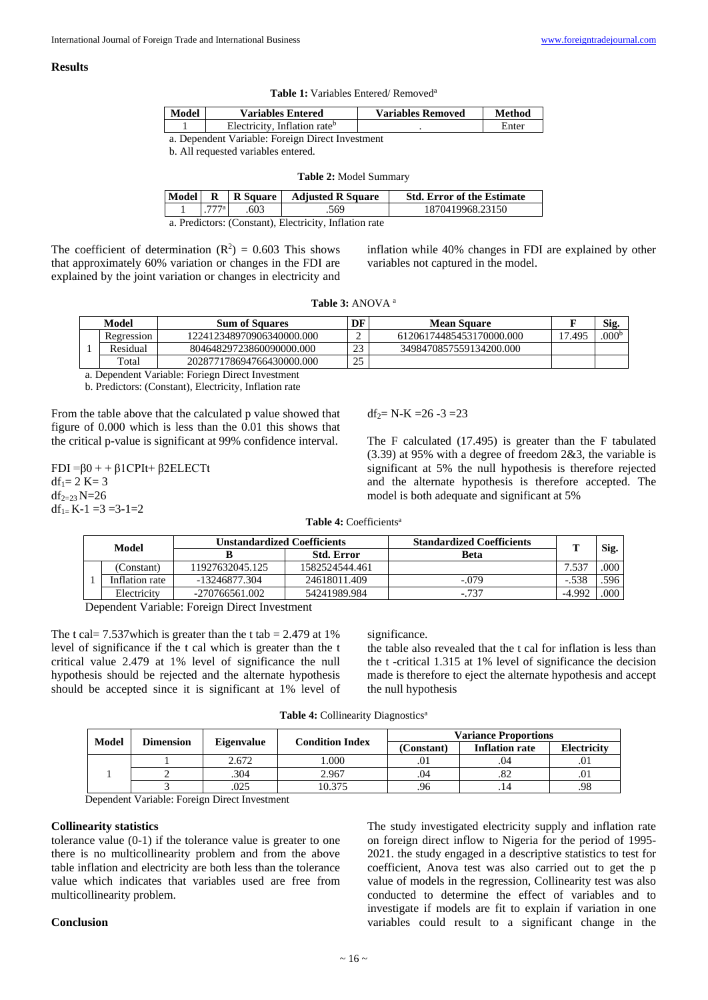# **Results**

| Model                                            | <b>Variables Entered</b>                 | <b>Variables Removed</b> | Method |  |  |  |
|--------------------------------------------------|------------------------------------------|--------------------------|--------|--|--|--|
|                                                  | Electricity, Inflation rate <sup>b</sup> |                          | Enter  |  |  |  |
| a. Dependent Variable: Foreign Direct Investment |                                          |                          |        |  |  |  |

| b. All requested variables entered. |  |  |
|-------------------------------------|--|--|
|-------------------------------------|--|--|

| Model                                               | $\mathbf R$ | R Square | <b>Adjusted R Square</b> | <b>Std. Error of the Estimate</b> |  |
|-----------------------------------------------------|-------------|----------|--------------------------|-----------------------------------|--|
|                                                     | 777a        | .603     | .569                     | 1870419968.23150                  |  |
| a Predictors: (Constant) Electricity Inflation rate |             |          |                          |                                   |  |

**Table 2:** Model Summary

a. Predictors: (Constant), Electricity, Inflation rate

The coefficient of determination  $(R^2) = 0.603$  This shows that approximately 60% variation or changes in the FDI are explained by the joint variation or changes in electricity and

inflation while 40% changes in FDI are explained by other variables not captured in the model.

|  | <b>Table 3:</b> ANOVA <sup>a</sup> |  |
|--|------------------------------------|--|
|--|------------------------------------|--|

| Model |            | <b>Sum of Squares</b>     |    | <b>Mean Square</b>       |                                    | Sig.              |
|-------|------------|---------------------------|----|--------------------------|------------------------------------|-------------------|
|       | Regression | 122412348970906340000.000 |    | 61206174485453170000.000 | $\overline{ }$<br>.49 <sup>5</sup> | .000 <sup>b</sup> |
|       | Residual   | 80464829723860090000.000  | 23 | 3498470857559134200.000  |                                    |                   |
|       | Total      | 202877178694766430000.000 | 25 |                          |                                    |                   |

a. Dependent Variable: Foriegn Direct Investment

b. Predictors: (Constant), Electricity, Inflation rate

From the table above that the calculated p value showed that figure of 0.000 which is less than the 0.01 this shows that the critical p-value is significant at 99% confidence interval.

 $FDI = \beta 0 + \beta 1$ CPIt+  $\beta 2ELECTt$  $df_1 = 2 K = 3$  $df_{2=23}$  N=26  $df_{1=} K-1 = 3 = 3-1=2$ 

 $df_2 = N-K = 26 - 3 = 23$ 

The F calculated (17.495) is greater than the F tabulated (3.39) at 95% with a degree of freedom 2&3, the variable is significant at 5% the null hypothesis is therefore rejected and the alternate hypothesis is therefore accepted. The model is both adequate and significant at 5%

| Model  |                | Unstandardized Coefficients |                   | <b>Standardized Coefficients</b> | œ       | Sig. |
|--------|----------------|-----------------------------|-------------------|----------------------------------|---------|------|
|        |                |                             | <b>Std. Error</b> | Beta                             |         |      |
|        | (Constant)     | 11927632045.125             | 1582524544.461    |                                  | 7.537   | .000 |
|        | Inflation rate | -13246877.304               | 24618011.409      | $-.079$                          | $-.538$ | .596 |
|        | Electricity    | $-270766561.002$            | 54241989.984      | $-737$                           | -4.992  | .000 |
| $\sim$ | .<br>______    |                             |                   |                                  |         |      |

Dependent Variable: Foreign Direct Investment

The t cal=  $7.537$ which is greater than the t tab =  $2.479$  at 1% level of significance if the t cal which is greater than the t critical value 2.479 at 1% level of significance the null hypothesis should be rejected and the alternate hypothesis should be accepted since it is significant at 1% level of

significance.

the table also revealed that the t cal for inflation is less than the t -critical 1.315 at 1% level of significance the decision made is therefore to eject the alternate hypothesis and accept the null hypothesis

Table 4: Collinearity Diagnostics<sup>a</sup>

| <b>Model</b> | <b>Dimension</b> | <b>Eigenvalue</b> | <b>Condition Index</b> | <b>Variance Proportions</b> |                       |                    |
|--------------|------------------|-------------------|------------------------|-----------------------------|-----------------------|--------------------|
|              |                  |                   |                        | (Constant)                  | <b>Inflation rate</b> | <b>Electricity</b> |
|              |                  | 2.672             | .000                   | .01                         | .04                   |                    |
|              |                  | .304              | 2.967                  | .04                         | .82                   |                    |
|              |                  | 025               | 10.375                 | 96                          |                       | .98                |

Dependent Variable: Foreign Direct Investment

# **Collinearity statistics**

tolerance value (0-1) if the tolerance value is greater to one there is no multicollinearity problem and from the above table inflation and electricity are both less than the tolerance value which indicates that variables used are free from multicollinearity problem.

The study investigated electricity supply and inflation rate on foreign direct inflow to Nigeria for the period of 1995- 2021. the study engaged in a descriptive statistics to test for coefficient, Anova test was also carried out to get the p value of models in the regression, Collinearity test was also conducted to determine the effect of variables and to investigate if models are fit to explain if variation in one variables could result to a significant change in the

# **Conclusion**